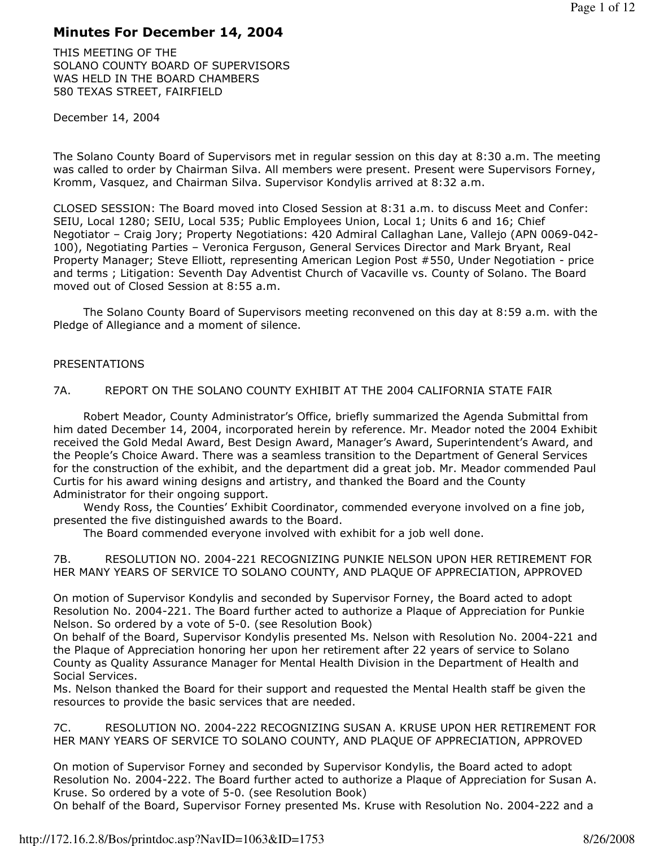# Minutes For December 14, 2004

THIS MEETING OF THE SOLANO COUNTY BOARD OF SUPERVISORS WAS HELD IN THE BOARD CHAMBERS 580 TEXAS STREET, FAIRFIELD

December 14, 2004

The Solano County Board of Supervisors met in regular session on this day at 8:30 a.m. The meeting was called to order by Chairman Silva. All members were present. Present were Supervisors Forney, Kromm, Vasquez, and Chairman Silva. Supervisor Kondylis arrived at 8:32 a.m.

CLOSED SESSION: The Board moved into Closed Session at 8:31 a.m. to discuss Meet and Confer: SEIU, Local 1280; SEIU, Local 535; Public Employees Union, Local 1; Units 6 and 16; Chief Negotiator – Craig Jory; Property Negotiations: 420 Admiral Callaghan Lane, Vallejo (APN 0069-042- 100), Negotiating Parties – Veronica Ferguson, General Services Director and Mark Bryant, Real Property Manager; Steve Elliott, representing American Legion Post #550, Under Negotiation - price and terms ; Litigation: Seventh Day Adventist Church of Vacaville vs. County of Solano. The Board moved out of Closed Session at 8:55 a.m.

 The Solano County Board of Supervisors meeting reconvened on this day at 8:59 a.m. with the Pledge of Allegiance and a moment of silence.

# PRESENTATIONS

## 7A. REPORT ON THE SOLANO COUNTY EXHIBIT AT THE 2004 CALIFORNIA STATE FAIR

 Robert Meador, County Administrator's Office, briefly summarized the Agenda Submittal from him dated December 14, 2004, incorporated herein by reference. Mr. Meador noted the 2004 Exhibit received the Gold Medal Award, Best Design Award, Manager's Award, Superintendent's Award, and the People's Choice Award. There was a seamless transition to the Department of General Services for the construction of the exhibit, and the department did a great job. Mr. Meador commended Paul Curtis for his award wining designs and artistry, and thanked the Board and the County Administrator for their ongoing support.

 Wendy Ross, the Counties' Exhibit Coordinator, commended everyone involved on a fine job, presented the five distinguished awards to the Board.

The Board commended everyone involved with exhibit for a job well done.

7B. RESOLUTION NO. 2004-221 RECOGNIZING PUNKIE NELSON UPON HER RETIREMENT FOR HER MANY YEARS OF SERVICE TO SOLANO COUNTY, AND PLAQUE OF APPRECIATION, APPROVED

On motion of Supervisor Kondylis and seconded by Supervisor Forney, the Board acted to adopt Resolution No. 2004-221. The Board further acted to authorize a Plaque of Appreciation for Punkie Nelson. So ordered by a vote of 5-0. (see Resolution Book)

On behalf of the Board, Supervisor Kondylis presented Ms. Nelson with Resolution No. 2004-221 and the Plaque of Appreciation honoring her upon her retirement after 22 years of service to Solano County as Quality Assurance Manager for Mental Health Division in the Department of Health and Social Services.

Ms. Nelson thanked the Board for their support and requested the Mental Health staff be given the resources to provide the basic services that are needed.

7C. RESOLUTION NO. 2004-222 RECOGNIZING SUSAN A. KRUSE UPON HER RETIREMENT FOR HER MANY YEARS OF SERVICE TO SOLANO COUNTY, AND PLAQUE OF APPRECIATION, APPROVED

On motion of Supervisor Forney and seconded by Supervisor Kondylis, the Board acted to adopt Resolution No. 2004-222. The Board further acted to authorize a Plaque of Appreciation for Susan A. Kruse. So ordered by a vote of 5-0. (see Resolution Book)

On behalf of the Board, Supervisor Forney presented Ms. Kruse with Resolution No. 2004-222 and a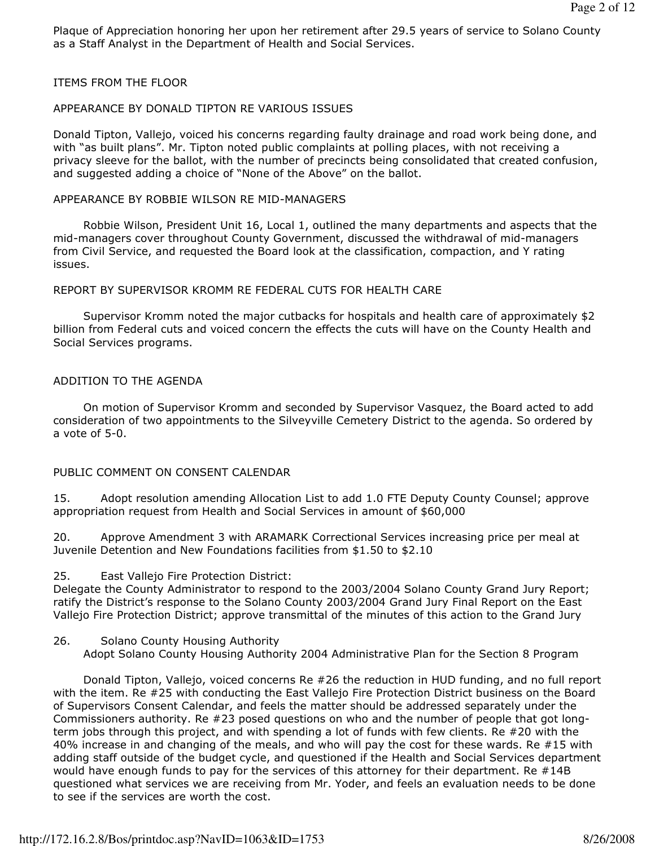Plaque of Appreciation honoring her upon her retirement after 29.5 years of service to Solano County as a Staff Analyst in the Department of Health and Social Services.

#### ITEMS FROM THE FLOOR

#### APPEARANCE BY DONALD TIPTON RE VARIOUS ISSUES

Donald Tipton, Vallejo, voiced his concerns regarding faulty drainage and road work being done, and with "as built plans". Mr. Tipton noted public complaints at polling places, with not receiving a privacy sleeve for the ballot, with the number of precincts being consolidated that created confusion, and suggested adding a choice of "None of the Above" on the ballot.

#### APPEARANCE BY ROBBIE WILSON RE MID-MANAGERS

 Robbie Wilson, President Unit 16, Local 1, outlined the many departments and aspects that the mid-managers cover throughout County Government, discussed the withdrawal of mid-managers from Civil Service, and requested the Board look at the classification, compaction, and Y rating issues.

#### REPORT BY SUPERVISOR KROMM RE FEDERAL CUTS FOR HEALTH CARE

 Supervisor Kromm noted the major cutbacks for hospitals and health care of approximately \$2 billion from Federal cuts and voiced concern the effects the cuts will have on the County Health and Social Services programs.

#### ADDITION TO THE AGENDA

 On motion of Supervisor Kromm and seconded by Supervisor Vasquez, the Board acted to add consideration of two appointments to the Silveyville Cemetery District to the agenda. So ordered by a vote of 5-0.

#### PUBLIC COMMENT ON CONSENT CALENDAR

15. Adopt resolution amending Allocation List to add 1.0 FTE Deputy County Counsel; approve appropriation request from Health and Social Services in amount of \$60,000

20. Approve Amendment 3 with ARAMARK Correctional Services increasing price per meal at Juvenile Detention and New Foundations facilities from \$1.50 to \$2.10

#### 25. East Vallejo Fire Protection District:

Delegate the County Administrator to respond to the 2003/2004 Solano County Grand Jury Report; ratify the District's response to the Solano County 2003/2004 Grand Jury Final Report on the East Vallejo Fire Protection District; approve transmittal of the minutes of this action to the Grand Jury

#### 26. Solano County Housing Authority Adopt Solano County Housing Authority 2004 Administrative Plan for the Section 8 Program

 Donald Tipton, Vallejo, voiced concerns Re #26 the reduction in HUD funding, and no full report with the item. Re #25 with conducting the East Vallejo Fire Protection District business on the Board of Supervisors Consent Calendar, and feels the matter should be addressed separately under the Commissioners authority. Re #23 posed questions on who and the number of people that got longterm jobs through this project, and with spending a lot of funds with few clients. Re #20 with the 40% increase in and changing of the meals, and who will pay the cost for these wards. Re #15 with adding staff outside of the budget cycle, and questioned if the Health and Social Services department would have enough funds to pay for the services of this attorney for their department. Re #14B questioned what services we are receiving from Mr. Yoder, and feels an evaluation needs to be done to see if the services are worth the cost.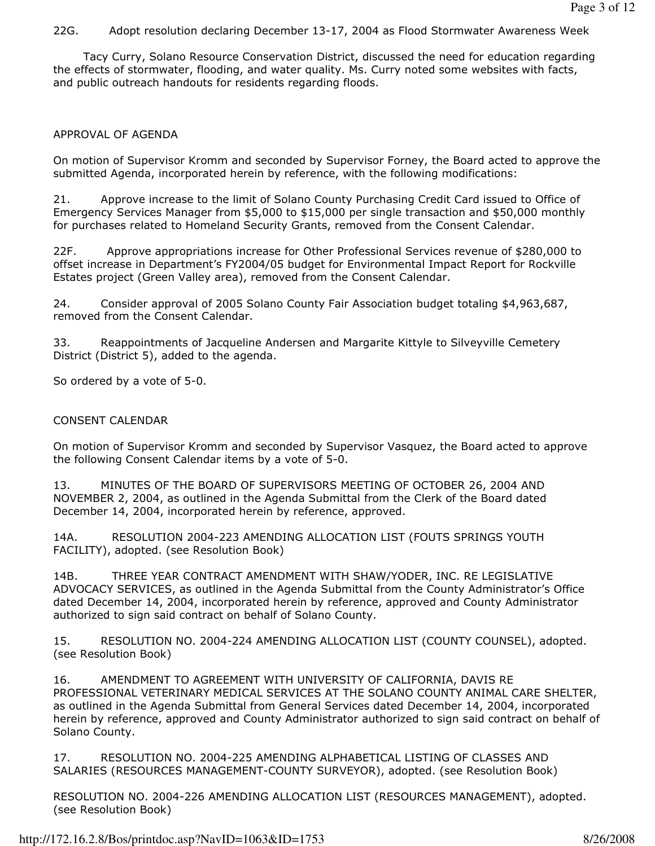# 22G. Adopt resolution declaring December 13-17, 2004 as Flood Stormwater Awareness Week

 Tacy Curry, Solano Resource Conservation District, discussed the need for education regarding the effects of stormwater, flooding, and water quality. Ms. Curry noted some websites with facts, and public outreach handouts for residents regarding floods.

# APPROVAL OF AGENDA

On motion of Supervisor Kromm and seconded by Supervisor Forney, the Board acted to approve the submitted Agenda, incorporated herein by reference, with the following modifications:

21. Approve increase to the limit of Solano County Purchasing Credit Card issued to Office of Emergency Services Manager from \$5,000 to \$15,000 per single transaction and \$50,000 monthly for purchases related to Homeland Security Grants, removed from the Consent Calendar.

22F. Approve appropriations increase for Other Professional Services revenue of \$280,000 to offset increase in Department's FY2004/05 budget for Environmental Impact Report for Rockville Estates project (Green Valley area), removed from the Consent Calendar.

24. Consider approval of 2005 Solano County Fair Association budget totaling \$4,963,687, removed from the Consent Calendar.

33. Reappointments of Jacqueline Andersen and Margarite Kittyle to Silveyville Cemetery District (District 5), added to the agenda.

So ordered by a vote of 5-0.

# CONSENT CALENDAR

On motion of Supervisor Kromm and seconded by Supervisor Vasquez, the Board acted to approve the following Consent Calendar items by a vote of 5-0.

13. MINUTES OF THE BOARD OF SUPERVISORS MEETING OF OCTOBER 26, 2004 AND NOVEMBER 2, 2004, as outlined in the Agenda Submittal from the Clerk of the Board dated December 14, 2004, incorporated herein by reference, approved.

14A. RESOLUTION 2004-223 AMENDING ALLOCATION LIST (FOUTS SPRINGS YOUTH FACILITY), adopted. (see Resolution Book)

14B. THREE YEAR CONTRACT AMENDMENT WITH SHAW/YODER, INC. RE LEGISLATIVE ADVOCACY SERVICES, as outlined in the Agenda Submittal from the County Administrator's Office dated December 14, 2004, incorporated herein by reference, approved and County Administrator authorized to sign said contract on behalf of Solano County.

15. RESOLUTION NO. 2004-224 AMENDING ALLOCATION LIST (COUNTY COUNSEL), adopted. (see Resolution Book)

16. AMENDMENT TO AGREEMENT WITH UNIVERSITY OF CALIFORNIA, DAVIS RE PROFESSIONAL VETERINARY MEDICAL SERVICES AT THE SOLANO COUNTY ANIMAL CARE SHELTER, as outlined in the Agenda Submittal from General Services dated December 14, 2004, incorporated herein by reference, approved and County Administrator authorized to sign said contract on behalf of Solano County.

17. RESOLUTION NO. 2004-225 AMENDING ALPHABETICAL LISTING OF CLASSES AND SALARIES (RESOURCES MANAGEMENT-COUNTY SURVEYOR), adopted. (see Resolution Book)

RESOLUTION NO. 2004-226 AMENDING ALLOCATION LIST (RESOURCES MANAGEMENT), adopted. (see Resolution Book)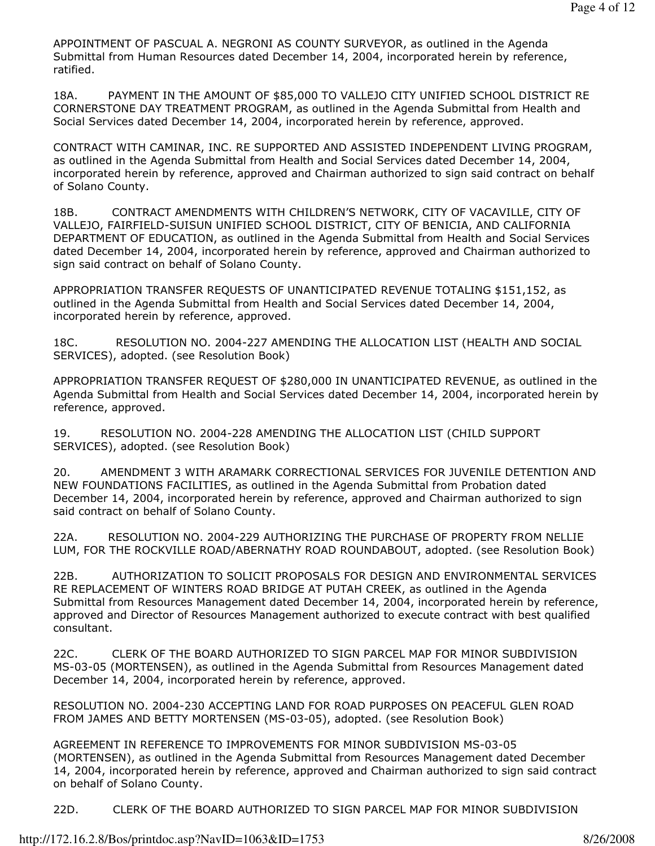APPOINTMENT OF PASCUAL A. NEGRONI AS COUNTY SURVEYOR, as outlined in the Agenda Submittal from Human Resources dated December 14, 2004, incorporated herein by reference, ratified.

18A. PAYMENT IN THE AMOUNT OF \$85,000 TO VALLEJO CITY UNIFIED SCHOOL DISTRICT RE CORNERSTONE DAY TREATMENT PROGRAM, as outlined in the Agenda Submittal from Health and Social Services dated December 14, 2004, incorporated herein by reference, approved.

CONTRACT WITH CAMINAR, INC. RE SUPPORTED AND ASSISTED INDEPENDENT LIVING PROGRAM, as outlined in the Agenda Submittal from Health and Social Services dated December 14, 2004, incorporated herein by reference, approved and Chairman authorized to sign said contract on behalf of Solano County.

18B. CONTRACT AMENDMENTS WITH CHILDREN'S NETWORK, CITY OF VACAVILLE, CITY OF VALLEJO, FAIRFIELD-SUISUN UNIFIED SCHOOL DISTRICT, CITY OF BENICIA, AND CALIFORNIA DEPARTMENT OF EDUCATION, as outlined in the Agenda Submittal from Health and Social Services dated December 14, 2004, incorporated herein by reference, approved and Chairman authorized to sign said contract on behalf of Solano County.

APPROPRIATION TRANSFER REQUESTS OF UNANTICIPATED REVENUE TOTALING \$151,152, as outlined in the Agenda Submittal from Health and Social Services dated December 14, 2004, incorporated herein by reference, approved.

18C. RESOLUTION NO. 2004-227 AMENDING THE ALLOCATION LIST (HEALTH AND SOCIAL SERVICES), adopted. (see Resolution Book)

APPROPRIATION TRANSFER REQUEST OF \$280,000 IN UNANTICIPATED REVENUE, as outlined in the Agenda Submittal from Health and Social Services dated December 14, 2004, incorporated herein by reference, approved.

19. RESOLUTION NO. 2004-228 AMENDING THE ALLOCATION LIST (CHILD SUPPORT SERVICES), adopted. (see Resolution Book)

20. AMENDMENT 3 WITH ARAMARK CORRECTIONAL SERVICES FOR JUVENILE DETENTION AND NEW FOUNDATIONS FACILITIES, as outlined in the Agenda Submittal from Probation dated December 14, 2004, incorporated herein by reference, approved and Chairman authorized to sign said contract on behalf of Solano County.

22A. RESOLUTION NO. 2004-229 AUTHORIZING THE PURCHASE OF PROPERTY FROM NELLIE LUM, FOR THE ROCKVILLE ROAD/ABERNATHY ROAD ROUNDABOUT, adopted. (see Resolution Book)

22B. AUTHORIZATION TO SOLICIT PROPOSALS FOR DESIGN AND ENVIRONMENTAL SERVICES RE REPLACEMENT OF WINTERS ROAD BRIDGE AT PUTAH CREEK, as outlined in the Agenda Submittal from Resources Management dated December 14, 2004, incorporated herein by reference, approved and Director of Resources Management authorized to execute contract with best qualified consultant.

22C. CLERK OF THE BOARD AUTHORIZED TO SIGN PARCEL MAP FOR MINOR SUBDIVISION MS-03-05 (MORTENSEN), as outlined in the Agenda Submittal from Resources Management dated December 14, 2004, incorporated herein by reference, approved.

RESOLUTION NO. 2004-230 ACCEPTING LAND FOR ROAD PURPOSES ON PEACEFUL GLEN ROAD FROM JAMES AND BETTY MORTENSEN (MS-03-05), adopted. (see Resolution Book)

AGREEMENT IN REFERENCE TO IMPROVEMENTS FOR MINOR SUBDIVISION MS-03-05 (MORTENSEN), as outlined in the Agenda Submittal from Resources Management dated December 14, 2004, incorporated herein by reference, approved and Chairman authorized to sign said contract on behalf of Solano County.

22D. CLERK OF THE BOARD AUTHORIZED TO SIGN PARCEL MAP FOR MINOR SUBDIVISION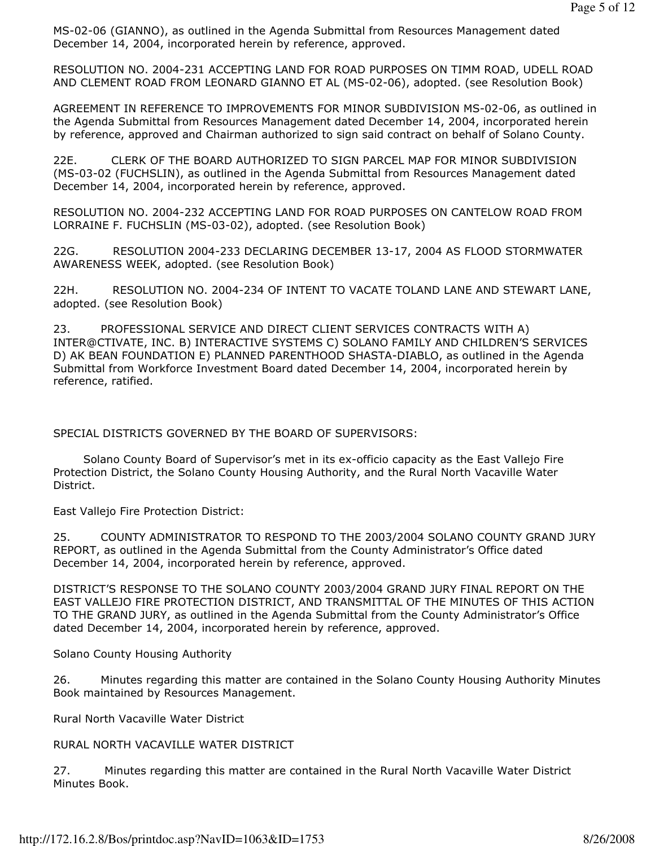MS-02-06 (GIANNO), as outlined in the Agenda Submittal from Resources Management dated December 14, 2004, incorporated herein by reference, approved.

RESOLUTION NO. 2004-231 ACCEPTING LAND FOR ROAD PURPOSES ON TIMM ROAD, UDELL ROAD AND CLEMENT ROAD FROM LEONARD GIANNO ET AL (MS-02-06), adopted. (see Resolution Book)

AGREEMENT IN REFERENCE TO IMPROVEMENTS FOR MINOR SUBDIVISION MS-02-06, as outlined in the Agenda Submittal from Resources Management dated December 14, 2004, incorporated herein by reference, approved and Chairman authorized to sign said contract on behalf of Solano County.

22E. CLERK OF THE BOARD AUTHORIZED TO SIGN PARCEL MAP FOR MINOR SUBDIVISION (MS-03-02 (FUCHSLIN), as outlined in the Agenda Submittal from Resources Management dated December 14, 2004, incorporated herein by reference, approved.

RESOLUTION NO. 2004-232 ACCEPTING LAND FOR ROAD PURPOSES ON CANTELOW ROAD FROM LORRAINE F. FUCHSLIN (MS-03-02), adopted. (see Resolution Book)

22G. RESOLUTION 2004-233 DECLARING DECEMBER 13-17, 2004 AS FLOOD STORMWATER AWARENESS WEEK, adopted. (see Resolution Book)

22H. RESOLUTION NO. 2004-234 OF INTENT TO VACATE TOLAND LANE AND STEWART LANE, adopted. (see Resolution Book)

23. PROFESSIONAL SERVICE AND DIRECT CLIENT SERVICES CONTRACTS WITH A) INTER@CTIVATE, INC. B) INTERACTIVE SYSTEMS C) SOLANO FAMILY AND CHILDREN'S SERVICES D) AK BEAN FOUNDATION E) PLANNED PARENTHOOD SHASTA-DIABLO, as outlined in the Agenda Submittal from Workforce Investment Board dated December 14, 2004, incorporated herein by reference, ratified.

SPECIAL DISTRICTS GOVERNED BY THE BOARD OF SUPERVISORS:

 Solano County Board of Supervisor's met in its ex-officio capacity as the East Vallejo Fire Protection District, the Solano County Housing Authority, and the Rural North Vacaville Water District.

East Vallejo Fire Protection District:

25. COUNTY ADMINISTRATOR TO RESPOND TO THE 2003/2004 SOLANO COUNTY GRAND JURY REPORT, as outlined in the Agenda Submittal from the County Administrator's Office dated December 14, 2004, incorporated herein by reference, approved.

DISTRICT'S RESPONSE TO THE SOLANO COUNTY 2003/2004 GRAND JURY FINAL REPORT ON THE EAST VALLEJO FIRE PROTECTION DISTRICT, AND TRANSMITTAL OF THE MINUTES OF THIS ACTION TO THE GRAND JURY, as outlined in the Agenda Submittal from the County Administrator's Office dated December 14, 2004, incorporated herein by reference, approved.

Solano County Housing Authority

26. Minutes regarding this matter are contained in the Solano County Housing Authority Minutes Book maintained by Resources Management.

Rural North Vacaville Water District

RURAL NORTH VACAVILLE WATER DISTRICT

27. Minutes regarding this matter are contained in the Rural North Vacaville Water District Minutes Book.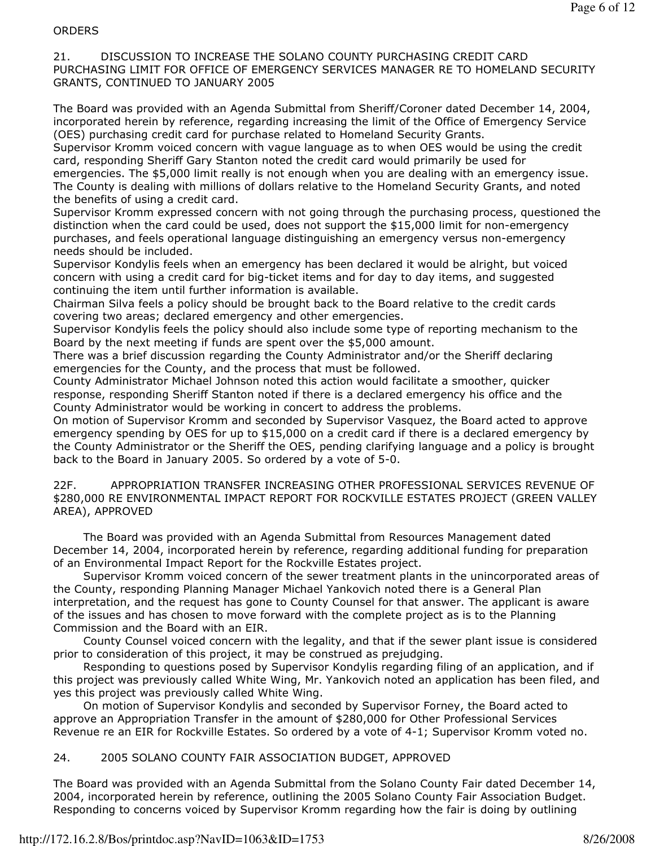#### **ORDERS**

21. DISCUSSION TO INCREASE THE SOLANO COUNTY PURCHASING CREDIT CARD PURCHASING LIMIT FOR OFFICE OF EMERGENCY SERVICES MANAGER RE TO HOMELAND SECURITY GRANTS, CONTINUED TO JANUARY 2005

The Board was provided with an Agenda Submittal from Sheriff/Coroner dated December 14, 2004, incorporated herein by reference, regarding increasing the limit of the Office of Emergency Service (OES) purchasing credit card for purchase related to Homeland Security Grants.

Supervisor Kromm voiced concern with vague language as to when OES would be using the credit card, responding Sheriff Gary Stanton noted the credit card would primarily be used for emergencies. The \$5,000 limit really is not enough when you are dealing with an emergency issue. The County is dealing with millions of dollars relative to the Homeland Security Grants, and noted the benefits of using a credit card.

Supervisor Kromm expressed concern with not going through the purchasing process, questioned the distinction when the card could be used, does not support the \$15,000 limit for non-emergency purchases, and feels operational language distinguishing an emergency versus non-emergency needs should be included.

Supervisor Kondylis feels when an emergency has been declared it would be alright, but voiced concern with using a credit card for big-ticket items and for day to day items, and suggested continuing the item until further information is available.

Chairman Silva feels a policy should be brought back to the Board relative to the credit cards covering two areas; declared emergency and other emergencies.

Supervisor Kondylis feels the policy should also include some type of reporting mechanism to the Board by the next meeting if funds are spent over the \$5,000 amount.

There was a brief discussion regarding the County Administrator and/or the Sheriff declaring emergencies for the County, and the process that must be followed.

County Administrator Michael Johnson noted this action would facilitate a smoother, quicker response, responding Sheriff Stanton noted if there is a declared emergency his office and the County Administrator would be working in concert to address the problems.

On motion of Supervisor Kromm and seconded by Supervisor Vasquez, the Board acted to approve emergency spending by OES for up to \$15,000 on a credit card if there is a declared emergency by the County Administrator or the Sheriff the OES, pending clarifying language and a policy is brought back to the Board in January 2005. So ordered by a vote of 5-0.

22F. APPROPRIATION TRANSFER INCREASING OTHER PROFESSIONAL SERVICES REVENUE OF \$280,000 RE ENVIRONMENTAL IMPACT REPORT FOR ROCKVILLE ESTATES PROJECT (GREEN VALLEY AREA), APPROVED

 The Board was provided with an Agenda Submittal from Resources Management dated December 14, 2004, incorporated herein by reference, regarding additional funding for preparation of an Environmental Impact Report for the Rockville Estates project.

 Supervisor Kromm voiced concern of the sewer treatment plants in the unincorporated areas of the County, responding Planning Manager Michael Yankovich noted there is a General Plan interpretation, and the request has gone to County Counsel for that answer. The applicant is aware of the issues and has chosen to move forward with the complete project as is to the Planning Commission and the Board with an EIR.

 County Counsel voiced concern with the legality, and that if the sewer plant issue is considered prior to consideration of this project, it may be construed as prejudging.

 Responding to questions posed by Supervisor Kondylis regarding filing of an application, and if this project was previously called White Wing, Mr. Yankovich noted an application has been filed, and yes this project was previously called White Wing.

 On motion of Supervisor Kondylis and seconded by Supervisor Forney, the Board acted to approve an Appropriation Transfer in the amount of \$280,000 for Other Professional Services Revenue re an EIR for Rockville Estates. So ordered by a vote of 4-1; Supervisor Kromm voted no.

### 24. 2005 SOLANO COUNTY FAIR ASSOCIATION BUDGET, APPROVED

The Board was provided with an Agenda Submittal from the Solano County Fair dated December 14, 2004, incorporated herein by reference, outlining the 2005 Solano County Fair Association Budget. Responding to concerns voiced by Supervisor Kromm regarding how the fair is doing by outlining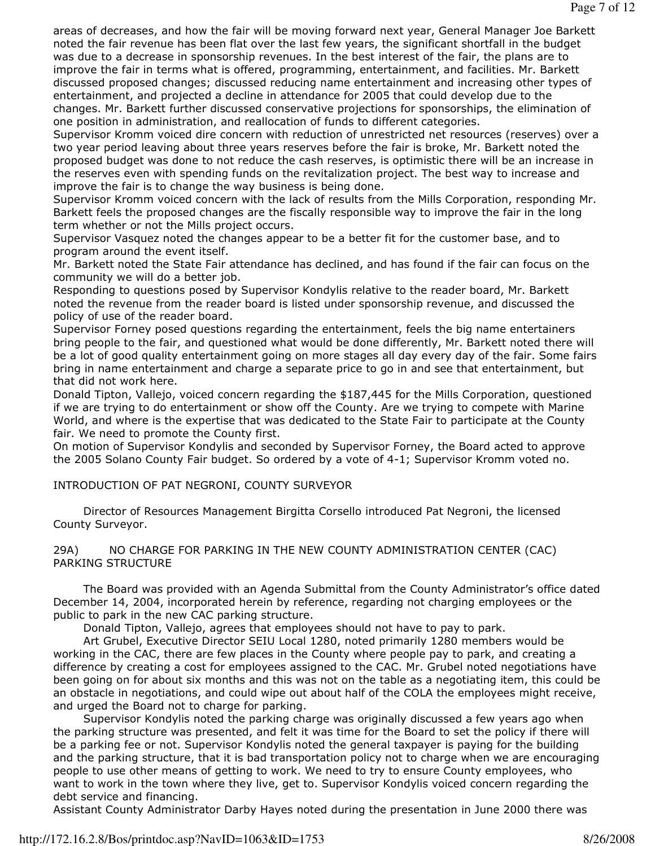areas of decreases, and how the fair will be moving forward next year, General Manager Joe Barkett noted the fair revenue has been flat over the last few years, the significant shortfall in the budget was due to a decrease in sponsorship revenues. In the best interest of the fair, the plans are to improve the fair in terms what is offered, programming, entertainment, and facilities. Mr. Barkett discussed proposed changes; discussed reducing name entertainment and increasing other types of entertainment, and projected a decline in attendance for 2005 that could develop due to the changes. Mr. Barkett further discussed conservative projections for sponsorships, the elimination of one position in administration, and reallocation of funds to different categories.

Supervisor Kromm voiced dire concern with reduction of unrestricted net resources (reserves) over a two year period leaving about three years reserves before the fair is broke, Mr. Barkett noted the proposed budget was done to not reduce the cash reserves, is optimistic there will be an increase in the reserves even with spending funds on the revitalization project. The best way to increase and improve the fair is to change the way business is being done.

Supervisor Kromm voiced concern with the lack of results from the Mills Corporation, responding Mr. Barkett feels the proposed changes are the fiscally responsible way to improve the fair in the long term whether or not the Mills project occurs.

Supervisor Vasquez noted the changes appear to be a better fit for the customer base, and to program around the event itself.

Mr. Barkett noted the State Fair attendance has declined, and has found if the fair can focus on the community we will do a better job.

Responding to questions posed by Supervisor Kondylis relative to the reader board, Mr. Barkett noted the revenue from the reader board is listed under sponsorship revenue, and discussed the policy of use of the reader board.

Supervisor Forney posed questions regarding the entertainment, feels the big name entertainers bring people to the fair, and questioned what would be done differently, Mr. Barkett noted there will be a lot of good quality entertainment going on more stages all day every day of the fair. Some fairs bring in name entertainment and charge a separate price to go in and see that entertainment, but that did not work here.

Donald Tipton, Vallejo, voiced concern regarding the \$187,445 for the Mills Corporation, questioned if we are trying to do entertainment or show off the County. Are we trying to compete with Marine World, and where is the expertise that was dedicated to the State Fair to participate at the County fair. We need to promote the County first.

On motion of Supervisor Kondylis and seconded by Supervisor Forney, the Board acted to approve the 2005 Solano County Fair budget. So ordered by a vote of 4-1; Supervisor Kromm voted no.

### INTRODUCTION OF PAT NEGRONI, COUNTY SURVEYOR

 Director of Resources Management Birgitta Corsello introduced Pat Negroni, the licensed County Surveyor.

#### 29A) NO CHARGE FOR PARKING IN THE NEW COUNTY ADMINISTRATION CENTER (CAC) PARKING STRUCTURE

 The Board was provided with an Agenda Submittal from the County Administrator's office dated December 14, 2004, incorporated herein by reference, regarding not charging employees or the public to park in the new CAC parking structure.

Donald Tipton, Vallejo, agrees that employees should not have to pay to park.

 Art Grubel, Executive Director SEIU Local 1280, noted primarily 1280 members would be working in the CAC, there are few places in the County where people pay to park, and creating a difference by creating a cost for employees assigned to the CAC. Mr. Grubel noted negotiations have been going on for about six months and this was not on the table as a negotiating item, this could be an obstacle in negotiations, and could wipe out about half of the COLA the employees might receive, and urged the Board not to charge for parking.

 Supervisor Kondylis noted the parking charge was originally discussed a few years ago when the parking structure was presented, and felt it was time for the Board to set the policy if there will be a parking fee or not. Supervisor Kondylis noted the general taxpayer is paying for the building and the parking structure, that it is bad transportation policy not to charge when we are encouraging people to use other means of getting to work. We need to try to ensure County employees, who want to work in the town where they live, get to. Supervisor Kondylis voiced concern regarding the debt service and financing.

Assistant County Administrator Darby Hayes noted during the presentation in June 2000 there was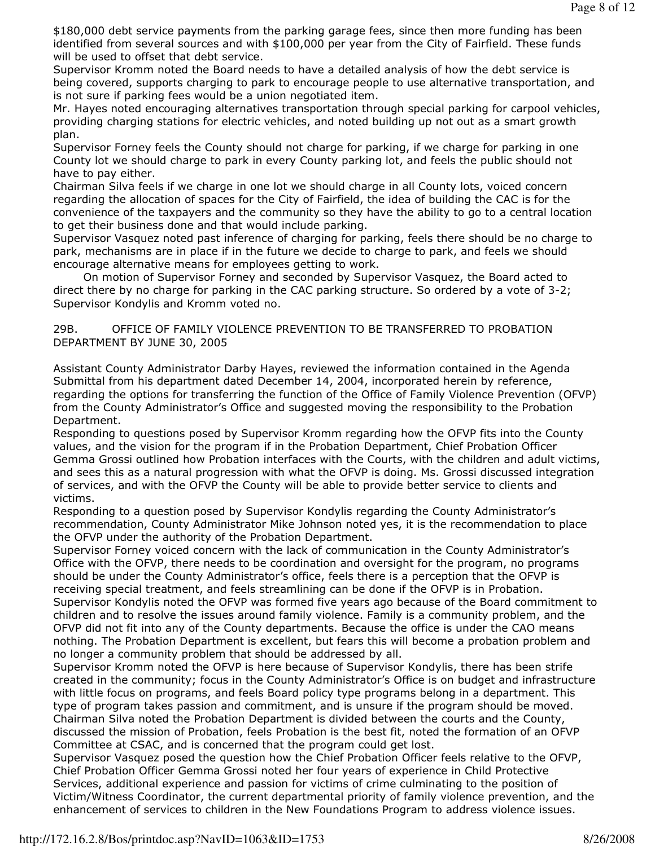\$180,000 debt service payments from the parking garage fees, since then more funding has been identified from several sources and with \$100,000 per year from the City of Fairfield. These funds will be used to offset that debt service.

Supervisor Kromm noted the Board needs to have a detailed analysis of how the debt service is being covered, supports charging to park to encourage people to use alternative transportation, and is not sure if parking fees would be a union negotiated item.

Mr. Hayes noted encouraging alternatives transportation through special parking for carpool vehicles, providing charging stations for electric vehicles, and noted building up not out as a smart growth plan.

Supervisor Forney feels the County should not charge for parking, if we charge for parking in one County lot we should charge to park in every County parking lot, and feels the public should not have to pay either.

Chairman Silva feels if we charge in one lot we should charge in all County lots, voiced concern regarding the allocation of spaces for the City of Fairfield, the idea of building the CAC is for the convenience of the taxpayers and the community so they have the ability to go to a central location to get their business done and that would include parking.

Supervisor Vasquez noted past inference of charging for parking, feels there should be no charge to park, mechanisms are in place if in the future we decide to charge to park, and feels we should encourage alternative means for employees getting to work.

 On motion of Supervisor Forney and seconded by Supervisor Vasquez, the Board acted to direct there by no charge for parking in the CAC parking structure. So ordered by a vote of 3-2; Supervisor Kondylis and Kromm voted no.

### 29B. OFFICE OF FAMILY VIOLENCE PREVENTION TO BE TRANSFERRED TO PROBATION DEPARTMENT BY JUNE 30, 2005

Assistant County Administrator Darby Hayes, reviewed the information contained in the Agenda Submittal from his department dated December 14, 2004, incorporated herein by reference, regarding the options for transferring the function of the Office of Family Violence Prevention (OFVP) from the County Administrator's Office and suggested moving the responsibility to the Probation Department.

Responding to questions posed by Supervisor Kromm regarding how the OFVP fits into the County values, and the vision for the program if in the Probation Department, Chief Probation Officer Gemma Grossi outlined how Probation interfaces with the Courts, with the children and adult victims, and sees this as a natural progression with what the OFVP is doing. Ms. Grossi discussed integration of services, and with the OFVP the County will be able to provide better service to clients and victims.

Responding to a question posed by Supervisor Kondylis regarding the County Administrator's recommendation, County Administrator Mike Johnson noted yes, it is the recommendation to place the OFVP under the authority of the Probation Department.

Supervisor Forney voiced concern with the lack of communication in the County Administrator's Office with the OFVP, there needs to be coordination and oversight for the program, no programs should be under the County Administrator's office, feels there is a perception that the OFVP is receiving special treatment, and feels streamlining can be done if the OFVP is in Probation. Supervisor Kondylis noted the OFVP was formed five years ago because of the Board commitment to children and to resolve the issues around family violence. Family is a community problem, and the

OFVP did not fit into any of the County departments. Because the office is under the CAO means nothing. The Probation Department is excellent, but fears this will become a probation problem and no longer a community problem that should be addressed by all.

Supervisor Kromm noted the OFVP is here because of Supervisor Kondylis, there has been strife created in the community; focus in the County Administrator's Office is on budget and infrastructure with little focus on programs, and feels Board policy type programs belong in a department. This type of program takes passion and commitment, and is unsure if the program should be moved. Chairman Silva noted the Probation Department is divided between the courts and the County, discussed the mission of Probation, feels Probation is the best fit, noted the formation of an OFVP Committee at CSAC, and is concerned that the program could get lost.

Supervisor Vasquez posed the question how the Chief Probation Officer feels relative to the OFVP, Chief Probation Officer Gemma Grossi noted her four years of experience in Child Protective Services, additional experience and passion for victims of crime culminating to the position of Victim/Witness Coordinator, the current departmental priority of family violence prevention, and the enhancement of services to children in the New Foundations Program to address violence issues.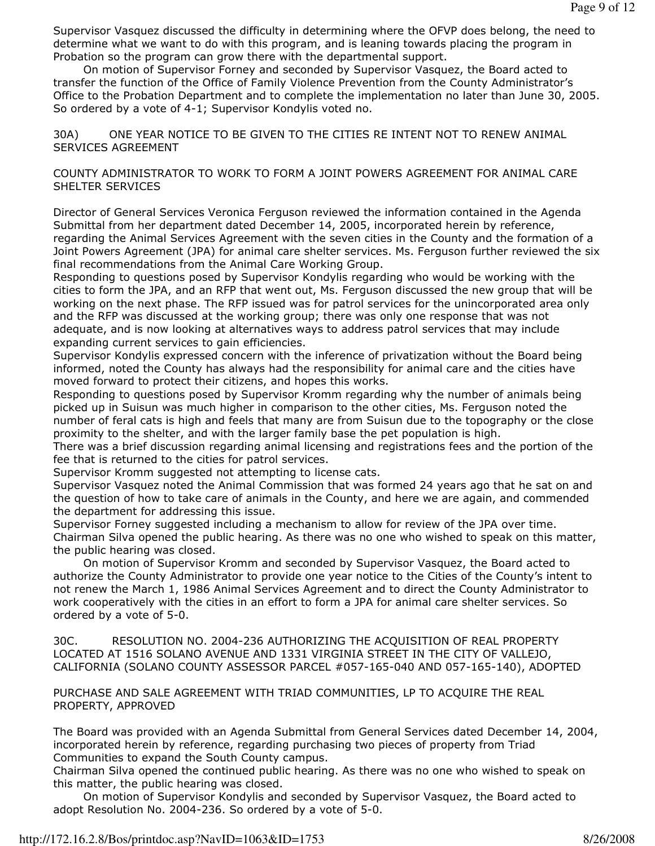Supervisor Vasquez discussed the difficulty in determining where the OFVP does belong, the need to determine what we want to do with this program, and is leaning towards placing the program in Probation so the program can grow there with the departmental support.

 On motion of Supervisor Forney and seconded by Supervisor Vasquez, the Board acted to transfer the function of the Office of Family Violence Prevention from the County Administrator's Office to the Probation Department and to complete the implementation no later than June 30, 2005. So ordered by a vote of 4-1; Supervisor Kondylis voted no.

30A) ONE YEAR NOTICE TO BE GIVEN TO THE CITIES RE INTENT NOT TO RENEW ANIMAL SERVICES AGREEMENT

#### COUNTY ADMINISTRATOR TO WORK TO FORM A JOINT POWERS AGREEMENT FOR ANIMAL CARE SHELTER SERVICES

Director of General Services Veronica Ferguson reviewed the information contained in the Agenda Submittal from her department dated December 14, 2005, incorporated herein by reference, regarding the Animal Services Agreement with the seven cities in the County and the formation of a Joint Powers Agreement (JPA) for animal care shelter services. Ms. Ferguson further reviewed the six final recommendations from the Animal Care Working Group.

Responding to questions posed by Supervisor Kondylis regarding who would be working with the cities to form the JPA, and an RFP that went out, Ms. Ferguson discussed the new group that will be working on the next phase. The RFP issued was for patrol services for the unincorporated area only and the RFP was discussed at the working group; there was only one response that was not adequate, and is now looking at alternatives ways to address patrol services that may include expanding current services to gain efficiencies.

Supervisor Kondylis expressed concern with the inference of privatization without the Board being informed, noted the County has always had the responsibility for animal care and the cities have moved forward to protect their citizens, and hopes this works.

Responding to questions posed by Supervisor Kromm regarding why the number of animals being picked up in Suisun was much higher in comparison to the other cities, Ms. Ferguson noted the number of feral cats is high and feels that many are from Suisun due to the topography or the close proximity to the shelter, and with the larger family base the pet population is high.

There was a brief discussion regarding animal licensing and registrations fees and the portion of the fee that is returned to the cities for patrol services.

Supervisor Kromm suggested not attempting to license cats.

Supervisor Vasquez noted the Animal Commission that was formed 24 years ago that he sat on and the question of how to take care of animals in the County, and here we are again, and commended the department for addressing this issue.

Supervisor Forney suggested including a mechanism to allow for review of the JPA over time. Chairman Silva opened the public hearing. As there was no one who wished to speak on this matter, the public hearing was closed.

 On motion of Supervisor Kromm and seconded by Supervisor Vasquez, the Board acted to authorize the County Administrator to provide one year notice to the Cities of the County's intent to not renew the March 1, 1986 Animal Services Agreement and to direct the County Administrator to work cooperatively with the cities in an effort to form a JPA for animal care shelter services. So ordered by a vote of 5-0.

30C. RESOLUTION NO. 2004-236 AUTHORIZING THE ACQUISITION OF REAL PROPERTY LOCATED AT 1516 SOLANO AVENUE AND 1331 VIRGINIA STREET IN THE CITY OF VALLEJO, CALIFORNIA (SOLANO COUNTY ASSESSOR PARCEL #057-165-040 AND 057-165-140), ADOPTED

PURCHASE AND SALE AGREEMENT WITH TRIAD COMMUNITIES, LP TO ACQUIRE THE REAL PROPERTY, APPROVED

The Board was provided with an Agenda Submittal from General Services dated December 14, 2004, incorporated herein by reference, regarding purchasing two pieces of property from Triad Communities to expand the South County campus.

Chairman Silva opened the continued public hearing. As there was no one who wished to speak on this matter, the public hearing was closed.

 On motion of Supervisor Kondylis and seconded by Supervisor Vasquez, the Board acted to adopt Resolution No. 2004-236. So ordered by a vote of 5-0.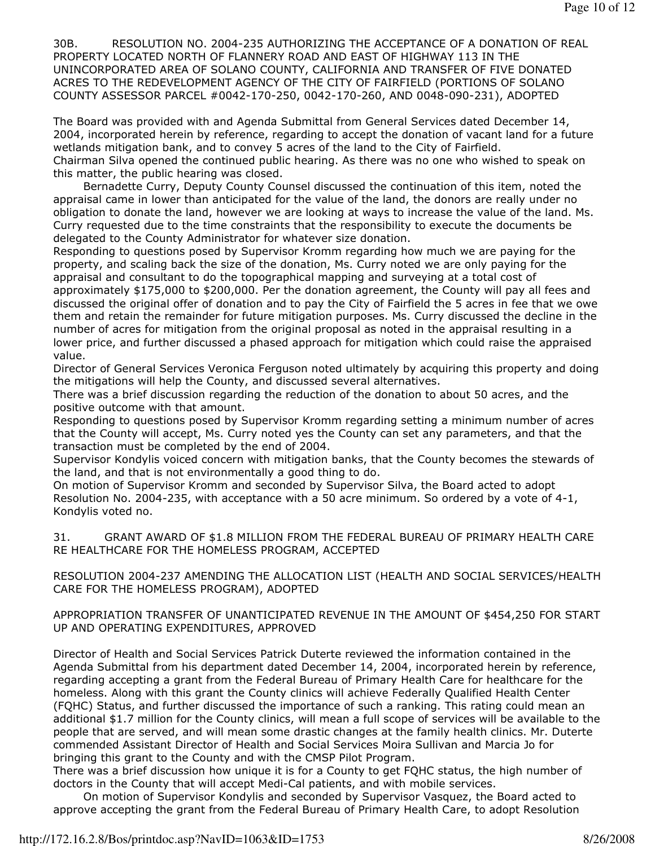30B. RESOLUTION NO. 2004-235 AUTHORIZING THE ACCEPTANCE OF A DONATION OF REAL PROPERTY LOCATED NORTH OF FLANNERY ROAD AND EAST OF HIGHWAY 113 IN THE UNINCORPORATED AREA OF SOLANO COUNTY, CALIFORNIA AND TRANSFER OF FIVE DONATED ACRES TO THE REDEVELOPMENT AGENCY OF THE CITY OF FAIRFIELD (PORTIONS OF SOLANO COUNTY ASSESSOR PARCEL #0042-170-250, 0042-170-260, AND 0048-090-231), ADOPTED

The Board was provided with and Agenda Submittal from General Services dated December 14, 2004, incorporated herein by reference, regarding to accept the donation of vacant land for a future wetlands mitigation bank, and to convey 5 acres of the land to the City of Fairfield. Chairman Silva opened the continued public hearing. As there was no one who wished to speak on this matter, the public hearing was closed.

 Bernadette Curry, Deputy County Counsel discussed the continuation of this item, noted the appraisal came in lower than anticipated for the value of the land, the donors are really under no obligation to donate the land, however we are looking at ways to increase the value of the land. Ms. Curry requested due to the time constraints that the responsibility to execute the documents be delegated to the County Administrator for whatever size donation.

Responding to questions posed by Supervisor Kromm regarding how much we are paying for the property, and scaling back the size of the donation, Ms. Curry noted we are only paying for the appraisal and consultant to do the topographical mapping and surveying at a total cost of approximately \$175,000 to \$200,000. Per the donation agreement, the County will pay all fees and discussed the original offer of donation and to pay the City of Fairfield the 5 acres in fee that we owe them and retain the remainder for future mitigation purposes. Ms. Curry discussed the decline in the number of acres for mitigation from the original proposal as noted in the appraisal resulting in a lower price, and further discussed a phased approach for mitigation which could raise the appraised value.

Director of General Services Veronica Ferguson noted ultimately by acquiring this property and doing the mitigations will help the County, and discussed several alternatives.

There was a brief discussion regarding the reduction of the donation to about 50 acres, and the positive outcome with that amount.

Responding to questions posed by Supervisor Kromm regarding setting a minimum number of acres that the County will accept, Ms. Curry noted yes the County can set any parameters, and that the transaction must be completed by the end of 2004.

Supervisor Kondylis voiced concern with mitigation banks, that the County becomes the stewards of the land, and that is not environmentally a good thing to do.

On motion of Supervisor Kromm and seconded by Supervisor Silva, the Board acted to adopt Resolution No. 2004-235, with acceptance with a 50 acre minimum. So ordered by a vote of 4-1, Kondylis voted no.

31. GRANT AWARD OF \$1.8 MILLION FROM THE FEDERAL BUREAU OF PRIMARY HEALTH CARE RE HEALTHCARE FOR THE HOMELESS PROGRAM, ACCEPTED

RESOLUTION 2004-237 AMENDING THE ALLOCATION LIST (HEALTH AND SOCIAL SERVICES/HEALTH CARE FOR THE HOMELESS PROGRAM), ADOPTED

APPROPRIATION TRANSFER OF UNANTICIPATED REVENUE IN THE AMOUNT OF \$454,250 FOR START UP AND OPERATING EXPENDITURES, APPROVED

Director of Health and Social Services Patrick Duterte reviewed the information contained in the Agenda Submittal from his department dated December 14, 2004, incorporated herein by reference, regarding accepting a grant from the Federal Bureau of Primary Health Care for healthcare for the homeless. Along with this grant the County clinics will achieve Federally Qualified Health Center (FQHC) Status, and further discussed the importance of such a ranking. This rating could mean an additional \$1.7 million for the County clinics, will mean a full scope of services will be available to the people that are served, and will mean some drastic changes at the family health clinics. Mr. Duterte commended Assistant Director of Health and Social Services Moira Sullivan and Marcia Jo for bringing this grant to the County and with the CMSP Pilot Program.

There was a brief discussion how unique it is for a County to get FQHC status, the high number of doctors in the County that will accept Medi-Cal patients, and with mobile services.

 On motion of Supervisor Kondylis and seconded by Supervisor Vasquez, the Board acted to approve accepting the grant from the Federal Bureau of Primary Health Care, to adopt Resolution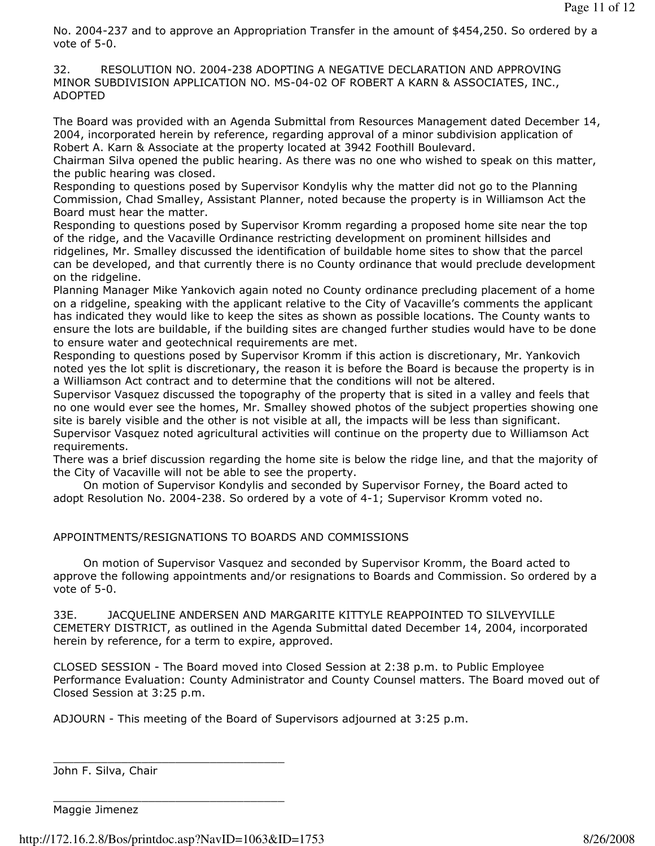No. 2004-237 and to approve an Appropriation Transfer in the amount of \$454,250. So ordered by a vote of 5-0.

32. RESOLUTION NO. 2004-238 ADOPTING A NEGATIVE DECLARATION AND APPROVING MINOR SUBDIVISION APPLICATION NO. MS-04-02 OF ROBERT A KARN & ASSOCIATES, INC., ADOPTED

The Board was provided with an Agenda Submittal from Resources Management dated December 14, 2004, incorporated herein by reference, regarding approval of a minor subdivision application of Robert A. Karn & Associate at the property located at 3942 Foothill Boulevard.

Chairman Silva opened the public hearing. As there was no one who wished to speak on this matter, the public hearing was closed.

Responding to questions posed by Supervisor Kondylis why the matter did not go to the Planning Commission, Chad Smalley, Assistant Planner, noted because the property is in Williamson Act the Board must hear the matter.

Responding to questions posed by Supervisor Kromm regarding a proposed home site near the top of the ridge, and the Vacaville Ordinance restricting development on prominent hillsides and ridgelines, Mr. Smalley discussed the identification of buildable home sites to show that the parcel can be developed, and that currently there is no County ordinance that would preclude development on the ridgeline.

Planning Manager Mike Yankovich again noted no County ordinance precluding placement of a home on a ridgeline, speaking with the applicant relative to the City of Vacaville's comments the applicant has indicated they would like to keep the sites as shown as possible locations. The County wants to ensure the lots are buildable, if the building sites are changed further studies would have to be done to ensure water and geotechnical requirements are met.

Responding to questions posed by Supervisor Kromm if this action is discretionary, Mr. Yankovich noted yes the lot split is discretionary, the reason it is before the Board is because the property is in a Williamson Act contract and to determine that the conditions will not be altered.

Supervisor Vasquez discussed the topography of the property that is sited in a valley and feels that no one would ever see the homes, Mr. Smalley showed photos of the subject properties showing one site is barely visible and the other is not visible at all, the impacts will be less than significant. Supervisor Vasquez noted agricultural activities will continue on the property due to Williamson Act requirements.

There was a brief discussion regarding the home site is below the ridge line, and that the majority of the City of Vacaville will not be able to see the property.

 On motion of Supervisor Kondylis and seconded by Supervisor Forney, the Board acted to adopt Resolution No. 2004-238. So ordered by a vote of 4-1; Supervisor Kromm voted no.

APPOINTMENTS/RESIGNATIONS TO BOARDS AND COMMISSIONS

 On motion of Supervisor Vasquez and seconded by Supervisor Kromm, the Board acted to approve the following appointments and/or resignations to Boards and Commission. So ordered by a vote of 5-0.

33E. JACQUELINE ANDERSEN AND MARGARITE KITTYLE REAPPOINTED TO SILVEYVILLE CEMETERY DISTRICT, as outlined in the Agenda Submittal dated December 14, 2004, incorporated herein by reference, for a term to expire, approved.

CLOSED SESSION - The Board moved into Closed Session at 2:38 p.m. to Public Employee Performance Evaluation: County Administrator and County Counsel matters. The Board moved out of Closed Session at 3:25 p.m.

ADJOURN - This meeting of the Board of Supervisors adjourned at 3:25 p.m.

John F. Silva, Chair

Maggie Jimenez

http://172.16.2.8/Bos/printdoc.asp?NavID=1063&ID=1753 8/26/2008

\_\_\_\_\_\_\_\_\_\_\_\_\_\_\_\_\_\_\_\_\_\_\_\_\_\_\_\_\_\_\_\_\_\_

\_\_\_\_\_\_\_\_\_\_\_\_\_\_\_\_\_\_\_\_\_\_\_\_\_\_\_\_\_\_\_\_\_\_